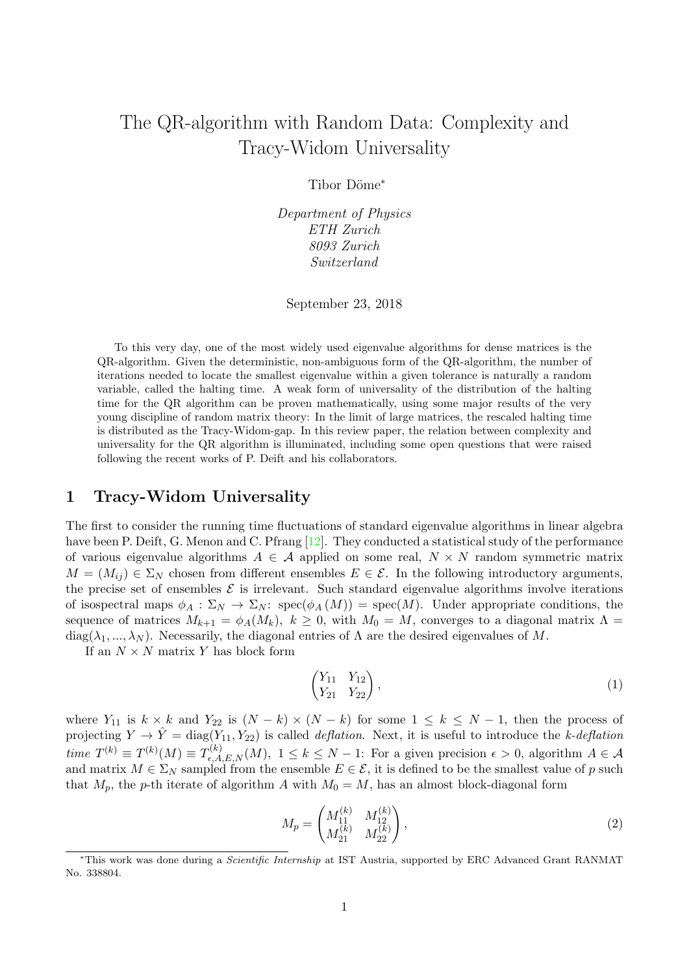# The QR-algorithm with Random Data: Complexity and Tracy-Widom Universality

Tibor Döme<sup>\*</sup>

Department of Physics ETH Zurich 8093 Zurich Switzerland

September 23, 2018

To this very day, one of the most widely used eigenvalue algorithms for dense matrices is the QR-algorithm. Given the deterministic, non-ambiguous form of the QR-algorithm, the number of iterations needed to locate the smallest eigenvalue within a given tolerance is naturally a random variable, called the halting time. A weak form of universality of the distribution of the halting time for the QR algorithm can be proven mathematically, using some major results of the very young discipline of random matrix theory: In the limit of large matrices, the rescaled halting time is distributed as the Tracy-Widom-gap. In this review paper, the relation between complexity and universality for the QR algorithm is illuminated, including some open questions that were raised following the recent works of P. Deift and his collaborators.

# 1 Tracy-Widom Universality

The first to consider the running time fluctuations of standard eigenvalue algorithms in linear algebra have been P. Deift, G. Menon and C. Pfrang [\[12\]](#page-9-0). They conducted a statistical study of the performance of various eigenvalue algorithms  $A \in \mathcal{A}$  applied on some real,  $N \times N$  random symmetric matrix  $M = (M_{ij}) \in \Sigma_N$  chosen from different ensembles  $E \in \mathcal{E}$ . In the following introductory arguments, the precise set of ensembles  $\mathcal E$  is irrelevant. Such standard eigenvalue algorithms involve iterations of isospectral maps  $\phi_A : \Sigma_N \to \Sigma_N$ :  $spec(\phi_A(M)) = spec(M)$ . Under appropriate conditions, the sequence of matrices  $M_{k+1} = \phi_A(M_k)$ ,  $k \geq 0$ , with  $M_0 = M$ , converges to a diagonal matrix  $\Lambda =$ diag( $\lambda_1, ..., \lambda_N$ ). Necessarily, the diagonal entries of  $\Lambda$  are the desired eigenvalues of M.

If an  $N \times N$  matrix Y has block form

$$
\begin{pmatrix} Y_{11} & Y_{12} \\ Y_{21} & Y_{22} \end{pmatrix}, \tag{1}
$$

where  $Y_{11}$  is  $k \times k$  and  $Y_{22}$  is  $(N-k) \times (N-k)$  for some  $1 \leq k \leq N-1$ , then the process of projecting  $Y \to \hat{Y} = \text{diag}(Y_{11}, Y_{22})$  is called *deflation*. Next, it is useful to introduce the k-deflation time  $T^{(k)} \equiv T^{(k)}(M) \equiv T^{(k)}_{\epsilon,A,E,N}(M), 1 \leq k \leq N-1$ : For a given precision  $\epsilon > 0$ , algorithm  $A \in \mathcal{A}$ and matrix  $M \in \Sigma_N$  sampled from the ensemble  $E \in \mathcal{E}$ , it is defined to be the smallest value of p such that  $M_p$ , the p-th iterate of algorithm A with  $M_0 = M$ , has an almost block-diagonal form

$$
M_p = \begin{pmatrix} M_{11}^{(k)} & M_{12}^{(k)} \\ M_{21}^{(k)} & M_{22}^{(k)} \end{pmatrix},
$$
\n(2)

<sup>∗</sup>This work was done during a Scientific Internship at IST Austria, supported by ERC Advanced Grant RANMAT No. 338804.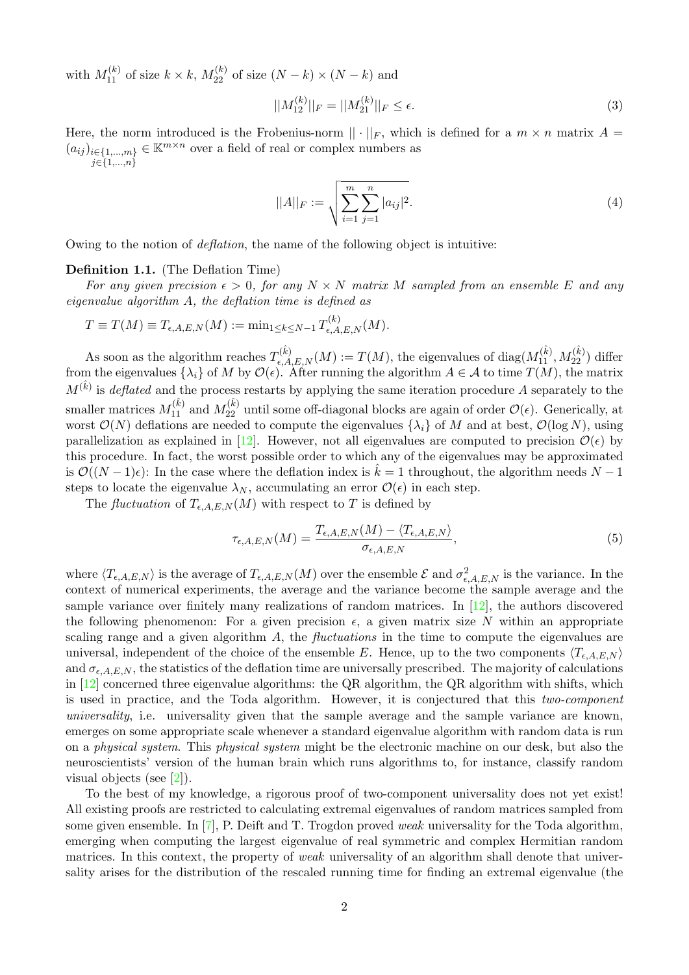with  $M_{11}^{(k)}$  of size  $k \times k$ ,  $M_{22}^{(k)}$  of size  $(N-k) \times (N-k)$  and

$$
||M_{12}^{(k)}||_F = ||M_{21}^{(k)}||_F \le \epsilon.
$$
\n(3)

Here, the norm introduced is the Frobenius-norm  $|| \cdot ||_F$ , which is defined for a  $m \times n$  matrix  $A =$  $(a_{ij})_{i\in\{1,\dots,m\}}\in\mathbb{K}^{m\times n}$  over a field of real or complex numbers as  $j \in \{1,...,n\}$ 

$$
||A||_F := \sqrt{\sum_{i=1}^m \sum_{j=1}^n |a_{ij}|^2}.
$$
 (4)

Owing to the notion of deflation, the name of the following object is intuitive:

## Definition 1.1. (The Deflation Time)

For any given precision  $\epsilon > 0$ , for any  $N \times N$  matrix M sampled from an ensemble E and any eigenvalue algorithm A, the deflation time is defined as

$$
T \equiv T(M) \equiv T_{\epsilon, A, E, N}(M) := \min_{1 \leq k \leq N-1} T_{\epsilon, A, E, N}^{(k)}(M).
$$

As soon as the algorithm reaches  $T_{\epsilon,A,E,N}^{(\hat{k})}(M) := T(M)$ , the eigenvalues of  $diag(M_{11}^{(\hat{k})}, M_{22}^{(\hat{k})})$  differ from the eigenvalues  $\{\lambda_i\}$  of M by  $\mathcal{O}(\epsilon)$ . After running the algorithm  $A \in \mathcal{A}$  to time  $T(M)$ , the matrix  $M^{(\hat{k})}$  is deflated and the process restarts by applying the same iteration procedure A separately to the smaller matrices  $M_{11}^{(\hat{k})}$  and  $M_{22}^{(\hat{k})}$  until some off-diagonal blocks are again of order  $\mathcal{O}(\epsilon)$ . Generically, at worst  $\mathcal{O}(N)$  deflations are needed to compute the eigenvalues  $\{\lambda_i\}$  of M and at best,  $\mathcal{O}(\log N)$ , using parallelization as explained in [\[12\]](#page-9-0). However, not all eigenvalues are computed to precision  $\mathcal{O}(\epsilon)$  by this procedure. In fact, the worst possible order to which any of the eigenvalues may be approximated is  $\mathcal{O}((N-1)\epsilon)$ : In the case where the deflation index is  $\tilde{k}=1$  throughout, the algorithm needs  $N-1$ steps to locate the eigenvalue  $\lambda_N$ , accumulating an error  $\mathcal{O}(\epsilon)$  in each step.

The *fluctuation* of  $T_{\epsilon, A, E, N}(M)$  with respect to T is defined by

$$
\tau_{\epsilon,A,E,N}(M) = \frac{T_{\epsilon,A,E,N}(M) - \langle T_{\epsilon,A,E,N} \rangle}{\sigma_{\epsilon,A,E,N}},
$$
\n(5)

where  $\langle T_{\epsilon,A,E,N} \rangle$  is the average of  $T_{\epsilon,A,E,N} (M)$  over the ensemble  $\mathcal E$  and  $\sigma_{\epsilon,A,E,N}^2$  is the variance. In the context of numerical experiments, the average and the variance become the sample average and the sample variance over finitely many realizations of random matrices. In [\[12\]](#page-9-0), the authors discovered the following phenomenon: For a given precision  $\epsilon$ , a given matrix size N within an appropriate scaling range and a given algorithm  $A$ , the *fluctuations* in the time to compute the eigenvalues are universal, independent of the choice of the ensemble E. Hence, up to the two components  $\langle T_{\epsilon, A, E, N} \rangle$ and  $\sigma_{\epsilon,A,E,N}$ , the statistics of the deflation time are universally prescribed. The majority of calculations in [\[12\]](#page-9-0) concerned three eigenvalue algorithms: the QR algorithm, the QR algorithm with shifts, which is used in practice, and the Toda algorithm. However, it is conjectured that this two-component universality, i.e. universality given that the sample average and the sample variance are known, emerges on some appropriate scale whenever a standard eigenvalue algorithm with random data is run on a physical system. This physical system might be the electronic machine on our desk, but also the neuroscientists' version of the human brain which runs algorithms to, for instance, classify random visual objects (see [\[2\]](#page-8-0)).

To the best of my knowledge, a rigorous proof of two-component universality does not yet exist! All existing proofs are restricted to calculating extremal eigenvalues of random matrices sampled from some given ensemble. In  $[7]$ , P. Deift and T. Trogdon proved weak universality for the Toda algorithm, emerging when computing the largest eigenvalue of real symmetric and complex Hermitian random matrices. In this context, the property of *weak* universality of an algorithm shall denote that universality arises for the distribution of the rescaled running time for finding an extremal eigenvalue (the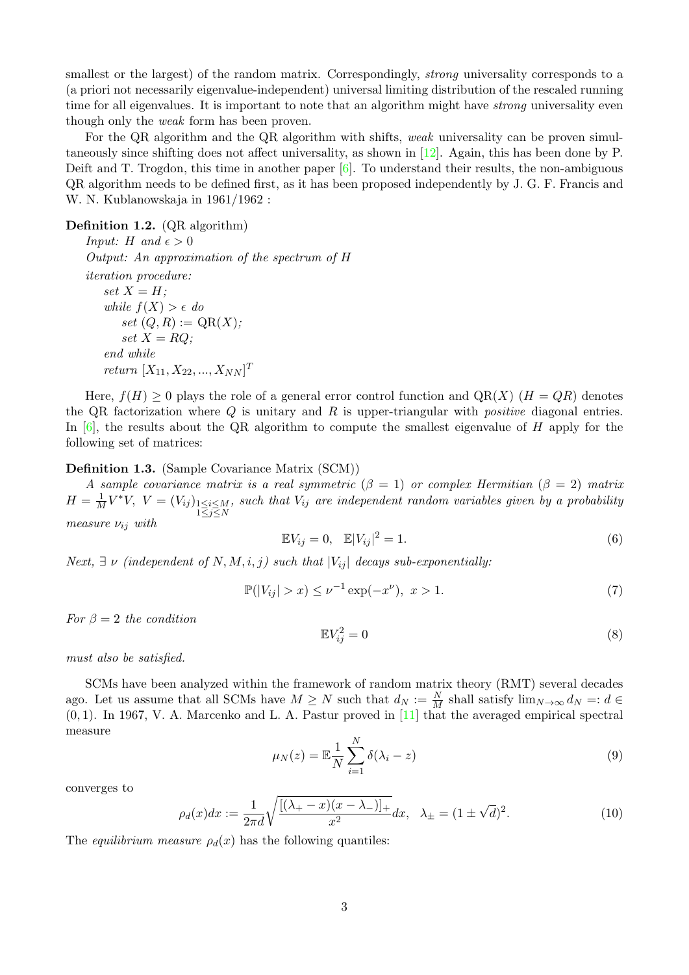smallest or the largest) of the random matrix. Correspondingly, *strong* universality corresponds to a (a priori not necessarily eigenvalue-independent) universal limiting distribution of the rescaled running time for all eigenvalues. It is important to note that an algorithm might have *strong* universality even though only the weak form has been proven.

For the QR algorithm and the QR algorithm with shifts, weak universality can be proven simultaneously since shifting does not affect universality, as shown in [\[12\]](#page-9-0). Again, this has been done by P. Deift and T. Trogdon, this time in another paper  $[6]$ . To understand their results, the non-ambiguous QR algorithm needs to be defined first, as it has been proposed independently by J. G. F. Francis and W. N. Kublanowskaja in 1961/1962 :

<span id="page-2-1"></span>Definition 1.2. (QR algorithm)

*Input: H* and  $\epsilon > 0$ Output: An approximation of the spectrum of H iteration procedure: set  $X = H$ ; while  $f(X) > \epsilon$  do set  $(Q, R) := \mathrm{QR}(X);$ set  $X = RQ$ : end while *return*  $[X_{11}, X_{22}, ..., X_{NN}]^T$ 

Here,  $f(H) \geq 0$  plays the role of a general error control function and  $QR(X)$   $(H = QR)$  denotes the QR factorization where  $Q$  is unitary and  $R$  is upper-triangular with *positive* diagonal entries. In  $[6]$ , the results about the QR algorithm to compute the smallest eigenvalue of H apply for the following set of matrices:

Definition 1.3. (Sample Covariance Matrix (SCM))

A sample covariance matrix is a real symmetric  $(\beta = 1)$  or complex Hermitian  $(\beta = 2)$  matrix  $H = \frac{1}{M}V^*V$ ,  $V = (V_{ij})_{\substack{1 \le i \le M \\ 1 \le j \le N}}$ , such that  $V_{ij}$  are independent random variables given by a probability measure  $\nu_{ij}$  with

$$
\mathbb{E}V_{ij} = 0, \quad \mathbb{E}|V_{ij}|^2 = 1. \tag{6}
$$

Next,  $\exists \nu$  (independent of N, M, i, j) such that  $|V_{ij}|$  decays sub-exponentially:

$$
\mathbb{P}(|V_{ij}| > x) \le \nu^{-1} \exp(-x^{\nu}), \ x > 1. \tag{7}
$$

For  $\beta = 2$  the condition

$$
\mathbb{E}V_{ij}^2 = 0\tag{8}
$$

must also be satisfied.

SCMs have been analyzed within the framework of random matrix theory (RMT) several decades ago. Let us assume that all SCMs have  $M \geq N$  such that  $d_N := \frac{N}{M}$  shall satisfy  $\lim_{N \to \infty} d_N =: d \in$  $(0, 1)$ . In 1967, V. A. Marcenko and L. A. Pastur proved in [\[11\]](#page-9-1) that the averaged empirical spectral measure

$$
\mu_N(z) = \mathbb{E}\frac{1}{N} \sum_{i=1}^N \delta(\lambda_i - z) \tag{9}
$$

converges to

<span id="page-2-0"></span>
$$
\rho_d(x)dx := \frac{1}{2\pi d} \sqrt{\frac{[(\lambda_+ - x)(x - \lambda_-)]_+}{x^2}} dx, \quad \lambda_\pm = (1 \pm \sqrt{d})^2. \tag{10}
$$

The equilibrium measure  $\rho_d(x)$  has the following quantiles: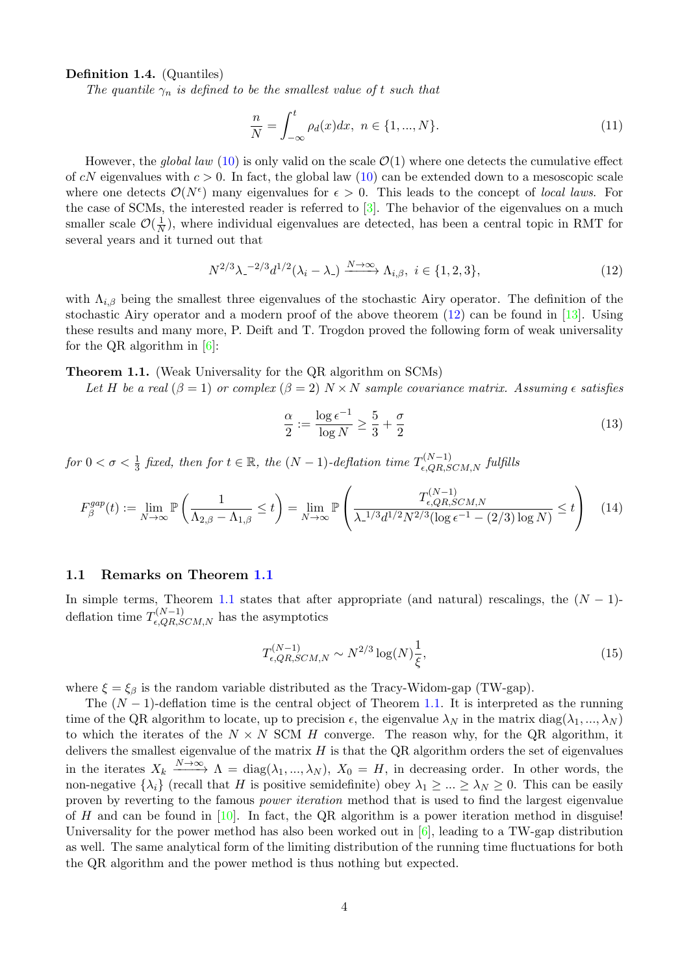Definition 1.4. (Quantiles)

The quantile  $\gamma_n$  is defined to be the smallest value of t such that

$$
\frac{n}{N} = \int_{-\infty}^{t} \rho_d(x) dx, \ n \in \{1, ..., N\}.
$$
\n(11)

However, the global law [\(10\)](#page-2-0) is only valid on the scale  $\mathcal{O}(1)$  where one detects the cumulative effect of cN eigenvalues with  $c > 0$ . In fact, the global law [\(10\)](#page-2-0) can be extended down to a mesoscopic scale where one detects  $\mathcal{O}(N^{\epsilon})$  many eigenvalues for  $\epsilon > 0$ . This leads to the concept of *local laws*. For the case of SCMs, the interested reader is referred to [\[3\]](#page-8-3). The behavior of the eigenvalues on a much smaller scale  $\mathcal{O}(\frac{1}{N})$  $\frac{1}{N}$ ), where individual eigenvalues are detected, has been a central topic in RMT for several years and it turned out that

<span id="page-3-0"></span>
$$
N^{2/3}\lambda_{-}^{-2/3}d^{1/2}(\lambda_i - \lambda_{-}) \xrightarrow{N \to \infty} \Lambda_{i,\beta}, \ i \in \{1, 2, 3\},\tag{12}
$$

with  $\Lambda_{i,\beta}$  being the smallest three eigenvalues of the stochastic Airy operator. The definition of the stochastic Airy operator and a modern proof of the above theorem [\(12\)](#page-3-0) can be found in [\[13\]](#page-9-2). Using these results and many more, P. Deift and T. Trogdon proved the following form of weak universality for the QR algorithm in [\[6\]](#page-8-2):

Theorem 1.1. (Weak Universality for the QR algorithm on SCMs)

Let H be a real  $(\beta = 1)$  or complex  $(\beta = 2)$  N × N sample covariance matrix. Assuming  $\epsilon$  satisfies

$$
\frac{\alpha}{2} := \frac{\log \epsilon^{-1}}{\log N} \ge \frac{5}{3} + \frac{\sigma}{2} \tag{13}
$$

 $for~0<\sigma<\frac{1}{3}$  fixed, then for  $t\in\mathbb{R}$ , the  $(N-1)$ -deflation time  $T_{\epsilon,QR,SCM,N}^{(N-1)}$  fulfills

<span id="page-3-1"></span>
$$
F_{\beta}^{gap}(t) := \lim_{N \to \infty} \mathbb{P}\left(\frac{1}{\Lambda_{2,\beta} - \Lambda_{1,\beta}} \le t\right) = \lim_{N \to \infty} \mathbb{P}\left(\frac{T_{\epsilon,QR,SCM,N}^{(N-1)}}{\lambda_{-}^{1/3} d^{1/2} N^{2/3} (\log \epsilon^{-1} - (2/3) \log N)} \le t\right) \tag{14}
$$

#### 1.1 Remarks on Theorem [1.1](#page-3-1)

In simple terms, Theorem [1.1](#page-3-1) states that after appropriate (and natural) rescalings, the  $(N-1)$ deflation time  $T_{\epsilon,QR,SCM,N}^{(N-1)}$  has the asymptotics

<span id="page-3-2"></span>
$$
T_{\epsilon, QR, SCM, N}^{(N-1)} \sim N^{2/3} \log(N) \frac{1}{\xi},\tag{15}
$$

where  $\xi = \xi_{\beta}$  is the random variable distributed as the Tracy-Widom-gap (TW-gap).

The  $(N-1)$ -deflation time is the central object of Theorem [1.1.](#page-3-1) It is interpreted as the running time of the QR algorithm to locate, up to precision  $\epsilon$ , the eigenvalue  $\lambda_N$  in the matrix diag( $\lambda_1, ..., \lambda_N$ ) to which the iterates of the  $N \times N$  SCM H converge. The reason why, for the QR algorithm, it delivers the smallest eigenvalue of the matrix  $H$  is that the QR algorithm orders the set of eigenvalues in the iterates  $X_k \xrightarrow{N \to \infty} \Lambda = \text{diag}(\lambda_1, ..., \lambda_N)$ ,  $X_0 = H$ , in decreasing order. In other words, the non-negative  $\{\lambda_i\}$  (recall that H is positive semidefinite) obey  $\lambda_1 \geq \ldots \geq \lambda_N \geq 0$ . This can be easily proven by reverting to the famous power iteration method that is used to find the largest eigenvalue of H and can be found in  $[10]$ . In fact, the QR algorithm is a power iteration method in disguise! Universality for the power method has also been worked out in  $[6]$ , leading to a TW-gap distribution as well. The same analytical form of the limiting distribution of the running time fluctuations for both the QR algorithm and the power method is thus nothing but expected.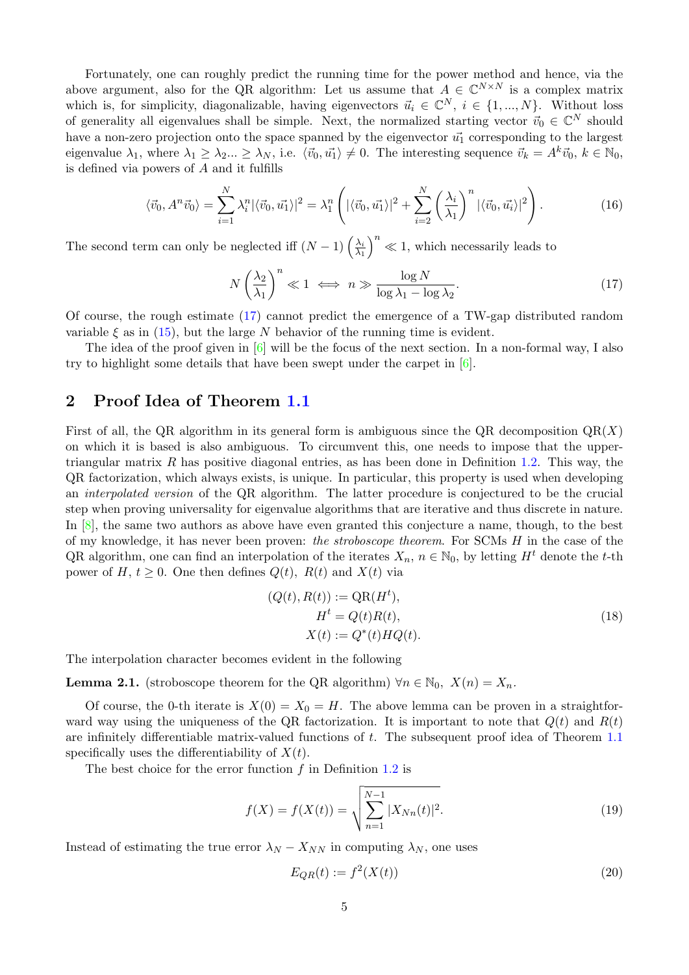Fortunately, one can roughly predict the running time for the power method and hence, via the above argument, also for the QR algorithm: Let us assume that  $A \in \mathbb{C}^{N \times N}$  is a complex matrix which is, for simplicity, diagonalizable, having eigenvectors  $\vec{u}_i \in \mathbb{C}^N$ ,  $i \in \{1, ..., N\}$ . Without loss of generality all eigenvalues shall be simple. Next, the normalized starting vector  $\vec{v}_0 \in \mathbb{C}^N$  should have a non-zero projection onto the space spanned by the eigenvector  $\vec{u_1}$  corresponding to the largest eigenvalue  $\lambda_1$ , where  $\lambda_1 \geq \lambda_2 ... \geq \lambda_N$ , i.e.  $\langle \vec{v}_0, \vec{u}_1 \rangle \neq 0$ . The interesting sequence  $\vec{v}_k = A^k \vec{v}_0, k \in \mathbb{N}_0$ , is defined via powers of A and it fulfills

$$
\langle \vec{v}_0, A^n \vec{v}_0 \rangle = \sum_{i=1}^N \lambda_i^n |\langle \vec{v}_0, \vec{u}_1 \rangle|^2 = \lambda_1^n \left( |\langle \vec{v}_0, \vec{u}_1 \rangle|^2 + \sum_{i=2}^N \left( \frac{\lambda_i}{\lambda_1} \right)^n |\langle \vec{v}_0, \vec{u}_i \rangle|^2 \right).
$$
 (16)

The second term can only be neglected iff  $(N-1)\left(\frac{\lambda_i}{\lambda_i}\right)$  $\lambda_1$  $n^{\prime} \ll 1$ , which necessarily leads to

<span id="page-4-0"></span>
$$
N\left(\frac{\lambda_2}{\lambda_1}\right)^n \ll 1 \iff n \gg \frac{\log N}{\log \lambda_1 - \log \lambda_2}.\tag{17}
$$

Of course, the rough estimate [\(17\)](#page-4-0) cannot predict the emergence of a TW-gap distributed random variable  $\xi$  as in [\(15\)](#page-3-2), but the large N behavior of the running time is evident.

The idea of the proof given in  $[6]$  will be the focus of the next section. In a non-formal way, I also try to highlight some details that have been swept under the carpet in [\[6\]](#page-8-2).

# 2 Proof Idea of Theorem [1.1](#page-3-1)

First of all, the QR algorithm in its general form is ambiguous since the QR decomposition  $QR(X)$ on which it is based is also ambiguous. To circumvent this, one needs to impose that the uppertriangular matrix  $R$  has positive diagonal entries, as has been done in Definition [1.2.](#page-2-1) This way, the QR factorization, which always exists, is unique. In particular, this property is used when developing an interpolated version of the QR algorithm. The latter procedure is conjectured to be the crucial step when proving universality for eigenvalue algorithms that are iterative and thus discrete in nature. In [\[8\]](#page-8-4), the same two authors as above have even granted this conjecture a name, though, to the best of my knowledge, it has never been proven: the stroboscope theorem. For SCMs H in the case of the QR algorithm, one can find an interpolation of the iterates  $X_n$ ,  $n \in \mathbb{N}_0$ , by letting  $H^t$  denote the t-th power of H,  $t \geq 0$ . One then defines  $Q(t)$ ,  $R(t)$  and  $X(t)$  via

$$
(Q(t), R(t)) := QR(Ht),
$$
  
\n
$$
Ht = Q(t)R(t),
$$
  
\n
$$
X(t) := Q^*(t)HQ(t).
$$
\n(18)

The interpolation character becomes evident in the following

**Lemma 2.1.** (stroboscope theorem for the QR algorithm)  $\forall n \in \mathbb{N}_0$ ,  $X(n) = X_n$ .

Of course, the 0-th iterate is  $X(0) = X_0 = H$ . The above lemma can be proven in a straightforward way using the uniqueness of the QR factorization. It is important to note that  $Q(t)$  and  $R(t)$ are infinitely differentiable matrix-valued functions of t. The subsequent proof idea of Theorem [1.1](#page-3-1) specifically uses the differentiability of  $X(t)$ .

The best choice for the error function  $f$  in Definition [1.2](#page-2-1) is

$$
f(X) = f(X(t)) = \sqrt{\sum_{n=1}^{N-1} |X_{Nn}(t)|^2}.
$$
\n(19)

Instead of estimating the true error  $\lambda_N - X_{NN}$  in computing  $\lambda_N$ , one uses

$$
E_{QR}(t) := f^2(X(t))\tag{20}
$$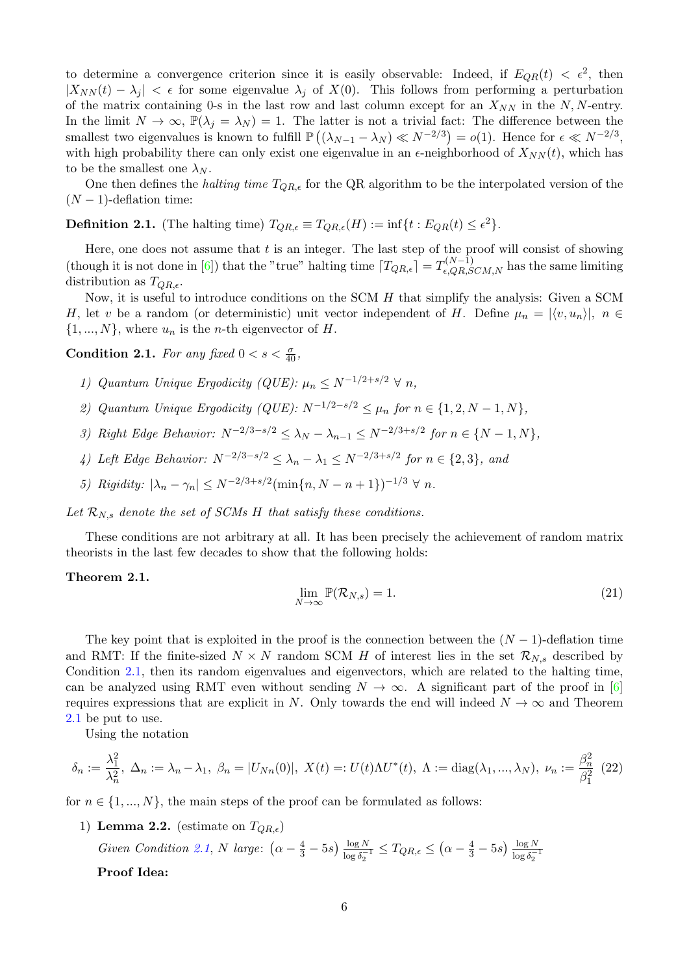to determine a convergence criterion since it is easily observable: Indeed, if  $E_{QR}(t) < \epsilon^2$ , then  $|X_{NN}(t) - \lambda_i| < \epsilon$  for some eigenvalue  $\lambda_i$  of  $X(0)$ . This follows from performing a perturbation of the matrix containing 0-s in the last row and last column except for an  $X_{NN}$  in the N, N-entry. In the limit  $N \to \infty$ ,  $\mathbb{P}(\lambda_j = \lambda_N) = 1$ . The latter is not a trivial fact: The difference between the smallest two eigenvalues is known to fulfill  $\mathbb{P}((\lambda_{N-1}-\lambda_N)\ll N^{-2/3})=o(1)$ . Hence for  $\epsilon\ll N^{-2/3}$ , with high probability there can only exist one eigenvalue in an  $\epsilon$ -neighborhood of  $X_{NN}(t)$ , which has to be the smallest one  $\lambda_N$ .

One then defines the *halting time*  $T_{QR,\epsilon}$  for the QR algorithm to be the interpolated version of the  $(N-1)$ -deflation time:

**Definition 2.1.** (The halting time)  $T_{QR,\epsilon} \equiv T_{QR,\epsilon}(H) := \inf\{t : E_{QR}(t) \leq \epsilon^2\}.$ 

Here, one does not assume that  $t$  is an integer. The last step of the proof will consist of showing (though it is not done in [\[6\]](#page-8-2)) that the "true" halting time  $T_{QR,\epsilon} = T_{\epsilon,QR,SCM,N}^{(N-1)}$  has the same limiting distribution as  $T_{QR,\epsilon}$ .

Now, it is useful to introduce conditions on the SCM  $H$  that simplify the analysis: Given a SCM H, let v be a random (or deterministic) unit vector independent of H. Define  $\mu_n = |\langle v, u_n \rangle|, n \in$  $\{1, ..., N\}$ , where  $u_n$  is the *n*-th eigenvector of H.

**Condition 2.1.** For any fixed  $0 < s < \frac{\sigma}{40}$ ,

- 1) Quantum Unique Ergodicity (QUE):  $\mu_n \leq N^{-1/2+s/2} \ \forall \ n$ ,
- 2) Quantum Unique Ergodicity (QUE):  $N^{-1/2-s/2} \leq \mu_n$  for  $n \in \{1, 2, N-1, N\}$ ,
- 3) Right Edge Behavior:  $N^{-2/3-s/2} \leq \lambda_N \lambda_{n-1} \leq N^{-2/3+s/2}$  for  $n \in \{N-1, N\},$
- 4) Left Edge Behavior:  $N^{-2/3-s/2} \leq \lambda_n \lambda_1 \leq N^{-2/3+s/2}$  for  $n \in \{2,3\}$ , and
- <span id="page-5-0"></span>5) Rigidity:  $|\lambda_n - \gamma_n| \le N^{-2/3 + s/2} (\min\{n, N - n + 1\})^{-1/3} \ \forall \ n$ .

Let  $\mathcal{R}_{N,s}$  denote the set of SCMs H that satisfy these conditions.

These conditions are not arbitrary at all. It has been precisely the achievement of random matrix theorists in the last few decades to show that the following holds:

## Theorem 2.1.

<span id="page-5-1"></span>
$$
\lim_{N \to \infty} \mathbb{P}(\mathcal{R}_{N,s}) = 1. \tag{21}
$$

The key point that is exploited in the proof is the connection between the  $(N-1)$ -deflation time and RMT: If the finite-sized  $N \times N$  random SCM H of interest lies in the set  $\mathcal{R}_{N,s}$  described by Condition [2.1,](#page-5-0) then its random eigenvalues and eigenvectors, which are related to the halting time, can be analyzed using RMT even without sending  $N \to \infty$ . A significant part of the proof in [\[6\]](#page-8-2) requires expressions that are explicit in N. Only towards the end will indeed  $N \to \infty$  and Theorem [2.1](#page-5-1) be put to use.

Using the notation

$$
\delta_n := \frac{\lambda_1^2}{\lambda_n^2}, \ \Delta_n := \lambda_n - \lambda_1, \ \beta_n = |U_{Nn}(0)|, \ X(t) =: U(t)\Lambda U^*(t), \ \Lambda := \text{diag}(\lambda_1, ..., \lambda_N), \ \nu_n := \frac{\beta_n^2}{\beta_1^2} \tag{22}
$$

for  $n \in \{1, ..., N\}$ , the main steps of the proof can be formulated as follows:

1) Lemma 2.2. (estimate on  $T_{QR,\epsilon}$ )

Given Condition [2.1](#page-5-0), N large:  $(\alpha - \frac{4}{3} - 5s) \frac{\log N}{\log \delta_0^{-1}}$  $\frac{\log N}{\log \delta_2^{-1}} \leq T_{QR,\epsilon} \leq (\alpha - \frac{4}{3} - 5s) \frac{\log N}{\log \delta_2^{-1}}$  $\log \delta_2^{-1}$ 

Proof Idea: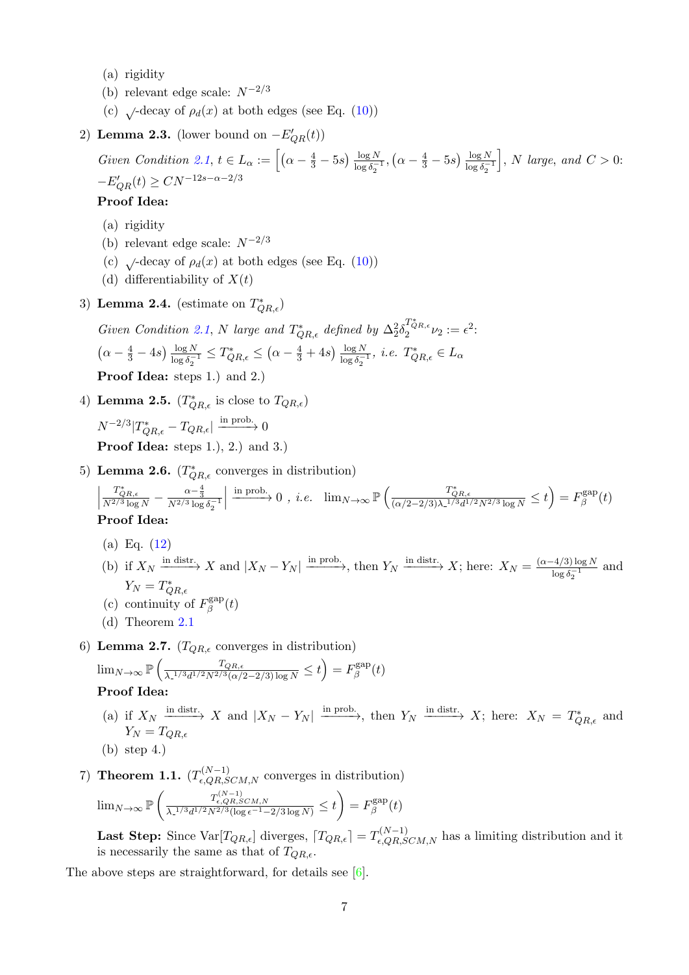- (a) rigidity
- (b) relevant edge scale:  $N^{-2/3}$
- (c)  $\sqrt{\cot^2 \rho_d(x)}$  at both edges (see Eq. [\(10\)](#page-2-0))
- 2) Lemma 2.3. (lower bound on  $-E'_{QR}(t)$ )

Given Condition [2.1](#page-5-0),  $t \in L_\alpha := \left[ \left( \alpha - \frac{4}{3} - 5s \right) \frac{\log N}{\log \delta_\alpha} \right]$  $\frac{\log N}{\log \delta_2^{-1}}, (\alpha - \frac{4}{3} - 5s) \frac{\log N}{\log \delta_2^{-1}}$  $\log \delta_2^{-1}$  $\bigg\}, N$  large, and  $C > 0$ :  $-E'_{QR}(t) \geq CN^{-12s-\alpha-2/3}$ 

## Proof Idea:

- (a) rigidity
- (b) relevant edge scale:  $N^{-2/3}$
- (c)  $\sqrt{\text{decay of } \rho_d(x)}$  at both edges (see Eq. [\(10\)](#page-2-0))
- (d) differentiability of  $X(t)$
- 3) Lemma 2.4. (estimate on  $T^*_{QR,\epsilon}$ )

Given Condition [2.1](#page-5-0), N large and  $T^*_{QR,\epsilon}$  defined by  $\Delta_2^2 \delta_2^{T^*_{QR,\epsilon}} \nu_2 := \epsilon^2$ :  $\left(\alpha - \frac{4}{3} - 4s\right) \frac{\log N}{\log \delta_0}$  $\frac{\log N}{\log \delta_2^{-1}} \leq T^*_{QR,\epsilon} \leq (\alpha - \frac{4}{3} + 4s) \frac{\log N}{\log \delta_2^{-1}}$  $\frac{\log N}{\log \delta_2^{-1}}, i.e. T^*_{QR,\epsilon} \in L_\alpha$ Proof Idea: steps 1.) and 2.)

4) Lemma 2.5.  $(T^*_{QR,\epsilon}$  is close to  $T_{QR,\epsilon})$ 

 $N^{-2/3} | T^*_{QR,\epsilon} - T_{QR,\epsilon} | \xrightarrow{\text{in prob.}} 0$ **Proof Idea:** steps 1., 2.) and 3.

5) Lemma 2.6.  $(T^*_{QR,\epsilon}$  converges in distribution)

$$
\left|\frac{T_{QR,\epsilon}^*}{N^{2/3}\log N}-\frac{\alpha-\frac{4}{3}}{N^{2/3}\log\delta_2^{-1}}\right|\xrightarrow{\text{in prob.}} 0\ ,\ i.e.\ \lim_{N\to\infty}\mathbb{P}\left(\frac{T_{QR,\epsilon}^*}{(\alpha/2-2/3)\lambda_-^{1/3}d^{1/2}N^{2/3}\log N}\leq t\right)=F_{\beta}^{\text{gap}}(t)
$$
   
Proof **Idea:**

- (a) Eq. [\(12\)](#page-3-0)
- (b) if  $X_N \xrightarrow{\text{in distr.}} X$  and  $|X_N Y_N| \xrightarrow{\text{in prob.}}$ , then  $Y_N \xrightarrow{\text{in distr.}} X$ ; here:  $X_N = \frac{(\alpha 4/3) \log N}{\log \beta 1}$  $\frac{\log \delta_2^{-1}}{\log \delta_2^{-1}}$  and  $Y_N = T^*_{QR,\epsilon}$
- (c) continuity of  $F_g^{\text{gap}}$  $\beta^{\rm gap}(t)$
- (d) Theorem [2.1](#page-5-1)
- 6) Lemma 2.7.  $(T_{QR,\epsilon}$  converges in distribution)

$$
\lim_{N \to \infty} \mathbb{P}\left(\frac{T_{QR,\epsilon}}{\lambda_{\epsilon}^{1/3} d^{1/2} N^{2/3} (\alpha/2 - 2/3) \log N} \le t\right) = F_{\beta}^{\text{gap}}(t)
$$
  
**Proof Idea:**

(a) if  $X_N \xrightarrow{\text{in distr.}} X$  and  $|X_N - Y_N| \xrightarrow{\text{in prob.}}$ , then  $Y_N \xrightarrow{\text{in distr.}} X$ ; here:  $X_N = T_{QR,\epsilon}^*$  and  $Y_N = T_{OR,\epsilon}$ 

(b) step 4.)

7) **Theorem 1.1.**  $(T_{\epsilon,QR,SCM,N}^{(N-1)}$  converges in distribution)  $\lim_{N\to\infty} \mathbb{P}\left( \frac{T_{\epsilon,QR,SCM,N}^{(N-1)}}{\lambda_-^{1/3}d^{1/2}N^{2/3}(\log\epsilon^{-1}-2/3\log N)} \leq t \right) = F_\beta^{\mathrm{gap}}$  $\beta^{\rm gap}(t)$ 

**Last Step:** Since  $\text{Var}[T_{QR,\epsilon}]$  diverges,  $T_{QR,\epsilon} = T_{\epsilon,QR,SCM,N}^{(N-1)}$  has a limiting distribution and it is necessarily the same as that of  $T_{QR,\epsilon}$ .

The above steps are straightforward, for details see [\[6\]](#page-8-2).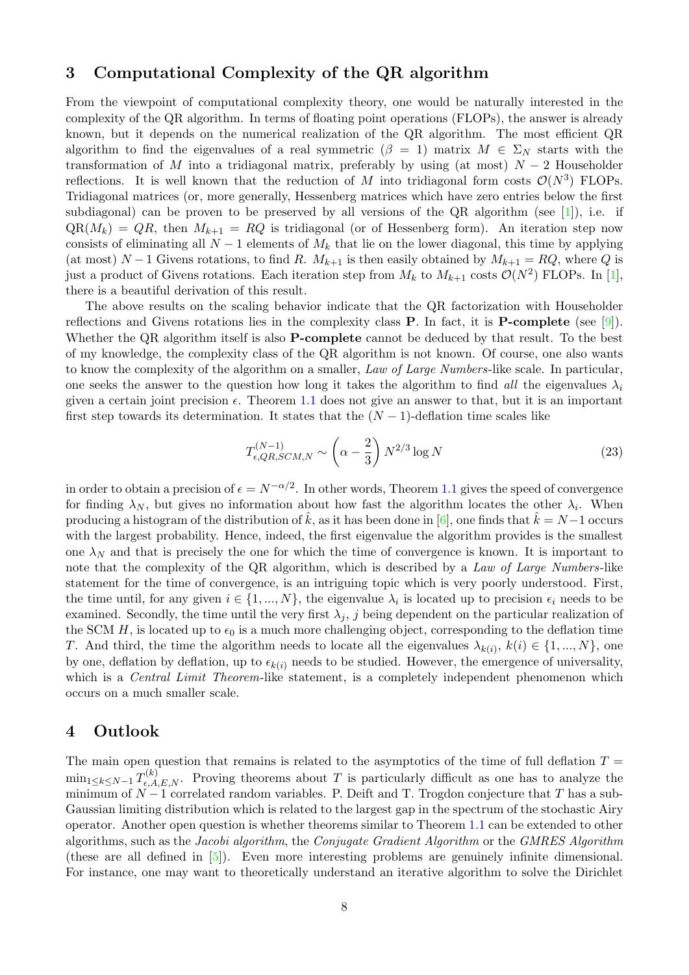# 3 Computational Complexity of the QR algorithm

From the viewpoint of computational complexity theory, one would be naturally interested in the complexity of the QR algorithm. In terms of floating point operations (FLOPs), the answer is already known, but it depends on the numerical realization of the QR algorithm. The most efficient QR algorithm to find the eigenvalues of a real symmetric  $(\beta = 1)$  matrix  $M \in \Sigma_N$  starts with the transformation of M into a tridiagonal matrix, preferably by using (at most)  $N-2$  Householder reflections. It is well known that the reduction of M into tridiagonal form costs  $\mathcal{O}(N^3)$  FLOPs. Tridiagonal matrices (or, more generally, Hessenberg matrices which have zero entries below the first subdiagonal) can be proven to be preserved by all versions of the QR algorithm (see  $[1]$ ), i.e. if  $QR(M_k) = QR$ , then  $M_{k+1} = RQ$  is tridiagonal (or of Hessenberg form). An iteration step now consists of eliminating all  $N-1$  elements of  $M_k$  that lie on the lower diagonal, this time by applying (at most)  $N-1$  Givens rotations, to find R.  $M_{k+1}$  is then easily obtained by  $M_{k+1} = RQ$ , where Q is just a product of Givens rotations. Each iteration step from  $M_k$  to  $M_{k+1}$  costs  $\mathcal{O}(N^2)$  FLOPs. In [\[1\]](#page-8-5), there is a beautiful derivation of this result.

The above results on the scaling behavior indicate that the QR factorization with Householder reflections and Givens rotations lies in the complexity class P. In fact, it is P-complete (see [\[9\]](#page-9-4)). Whether the QR algorithm itself is also **P-complete** cannot be deduced by that result. To the best of my knowledge, the complexity class of the QR algorithm is not known. Of course, one also wants to know the complexity of the algorithm on a smaller, Law of Large Numbers-like scale. In particular, one seeks the answer to the question how long it takes the algorithm to find all the eigenvalues  $\lambda_i$ given a certain joint precision  $\epsilon$ . Theorem [1.1](#page-3-1) does not give an answer to that, but it is an important first step towards its determination. It states that the  $(N-1)$ -deflation time scales like

$$
T_{\epsilon, QR, SCM, N}^{(N-1)} \sim \left(\alpha - \frac{2}{3}\right) N^{2/3} \log N \tag{23}
$$

in order to obtain a precision of  $\epsilon = N^{-\alpha/2}$ . In other words, Theorem [1.1](#page-3-1) gives the speed of convergence for finding  $\lambda_N$ , but gives no information about how fast the algorithm locates the other  $\lambda_i$ . When producing a histogram of the distribution of  $\hat{k}$ , as it has been done in [\[6\]](#page-8-2), one finds that  $\hat{k} = N-1$  occurs with the largest probability. Hence, indeed, the first eigenvalue the algorithm provides is the smallest one  $\lambda_N$  and that is precisely the one for which the time of convergence is known. It is important to note that the complexity of the QR algorithm, which is described by a Law of Large Numbers-like statement for the time of convergence, is an intriguing topic which is very poorly understood. First, the time until, for any given  $i \in \{1, ..., N\}$ , the eigenvalue  $\lambda_i$  is located up to precision  $\epsilon_i$  needs to be examined. Secondly, the time until the very first  $\lambda_i$ , j being dependent on the particular realization of the SCM H, is located up to  $\epsilon_0$  is a much more challenging object, corresponding to the deflation time T. And third, the time the algorithm needs to locate all the eigenvalues  $\lambda_{k(i)}$ ,  $k(i) \in \{1, ..., N\}$ , one by one, deflation by deflation, up to  $\epsilon_{k(i)}$  needs to be studied. However, the emergence of universality, which is a *Central Limit Theorem*-like statement, is a completely independent phenomenon which occurs on a much smaller scale.

# 4 Outlook

The main open question that remains is related to the asymptotics of the time of full deflation  $T =$  $\min_{1 \leq k \leq N-1} T_{\epsilon,A,E,N}^{(k)}$ . Proving theorems about T is particularly difficult as one has to analyze the minimum of  $N-1$  correlated random variables. P. Deift and T. Trogdon conjecture that T has a sub-Gaussian limiting distribution which is related to the largest gap in the spectrum of the stochastic Airy operator. Another open question is whether theorems similar to Theorem [1.1](#page-3-1) can be extended to other algorithms, such as the Jacobi algorithm, the Conjugate Gradient Algorithm or the GMRES Algorithm (these are all defined in [\[5\]](#page-8-6)). Even more interesting problems are genuinely infinite dimensional. For instance, one may want to theoretically understand an iterative algorithm to solve the Dirichlet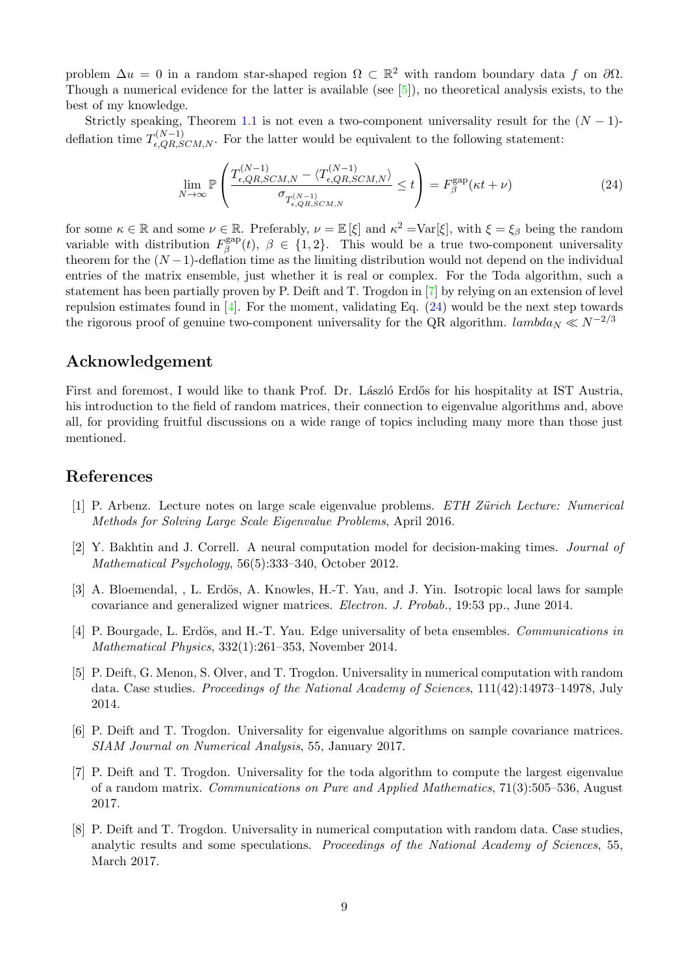problem  $\Delta u = 0$  in a random star-shaped region  $\Omega \subset \mathbb{R}^2$  with random boundary data f on  $\partial\Omega$ . Though a numerical evidence for the latter is available (see [\[5\]](#page-8-6)), no theoretical analysis exists, to the best of my knowledge.

Strictly speaking, Theorem [1.1](#page-3-1) is not even a two-component universality result for the  $(N-1)$ deflation time  $T_{\epsilon,QR,SCM,N}^{(N-1)}$ . For the latter would be equivalent to the following statement:

<span id="page-8-8"></span>
$$
\lim_{N \to \infty} \mathbb{P}\left(\frac{T_{\epsilon, QR, SCM, N}^{(N-1)} - \langle T_{\epsilon, QR, SCM, N}^{(N-1)} \rangle}{\sigma_{T_{\epsilon, QR, SCM, N}^{(N-1)}}} \le t\right) = F_{\beta}^{\text{gap}}(\kappa t + \nu) \tag{24}
$$

for some  $\kappa \in \mathbb{R}$  and some  $\nu \in \mathbb{R}$ . Preferably,  $\nu = \mathbb{E}[\xi]$  and  $\kappa^2 = \text{Var}[\xi]$ , with  $\xi = \xi_\beta$  being the random variable with distribution  $F_{\beta}^{\text{gap}}$ <sup>gap</sup>(*t*),  $\beta \in \{1,2\}$ . This would be a true two-component universality theorem for the  $(N-1)$ -deflation time as the limiting distribution would not depend on the individual entries of the matrix ensemble, just whether it is real or complex. For the Toda algorithm, such a statement has been partially proven by P. Deift and T. Trogdon in [\[7\]](#page-8-1) by relying on an extension of level repulsion estimates found in  $[4]$ . For the moment, validating Eq.  $(24)$  would be the next step towards the rigorous proof of genuine two-component universality for the QR algorithm.  $lambda_N \ll N^{-2/3}$ 

# Acknowledgement

First and foremost, I would like to thank Prof. Dr. László Erdős for his hospitality at IST Austria, his introduction to the field of random matrices, their connection to eigenvalue algorithms and, above all, for providing fruitful discussions on a wide range of topics including many more than those just mentioned.

# References

- <span id="page-8-5"></span>[1] P. Arbenz. Lecture notes on large scale eigenvalue problems. ETH Zürich Lecture: Numerical Methods for Solving Large Scale Eigenvalue Problems, April 2016.
- <span id="page-8-0"></span>[2] Y. Bakhtin and J. Correll. A neural computation model for decision-making times. Journal of Mathematical Psychology, 56(5):333–340, October 2012.
- <span id="page-8-3"></span>[3] A. Bloemendal, , L. Erdös, A. Knowles, H.-T. Yau, and J. Yin. Isotropic local laws for sample covariance and generalized wigner matrices. Electron. J. Probab., 19:53 pp., June 2014.
- <span id="page-8-7"></span>[4] P. Bourgade, L. Erdös, and H.-T. Yau. Edge universality of beta ensembles. Communications in Mathematical Physics, 332(1):261–353, November 2014.
- <span id="page-8-6"></span>[5] P. Deift, G. Menon, S. Olver, and T. Trogdon. Universality in numerical computation with random data. Case studies. Proceedings of the National Academy of Sciences, 111(42):14973-14978, July 2014.
- <span id="page-8-2"></span>[6] P. Deift and T. Trogdon. Universality for eigenvalue algorithms on sample covariance matrices. SIAM Journal on Numerical Analysis, 55, January 2017.
- <span id="page-8-1"></span>[7] P. Deift and T. Trogdon. Universality for the toda algorithm to compute the largest eigenvalue of a random matrix. Communications on Pure and Applied Mathematics, 71(3):505–536, August 2017.
- <span id="page-8-4"></span>[8] P. Deift and T. Trogdon. Universality in numerical computation with random data. Case studies, analytic results and some speculations. Proceedings of the National Academy of Sciences, 55, March 2017.